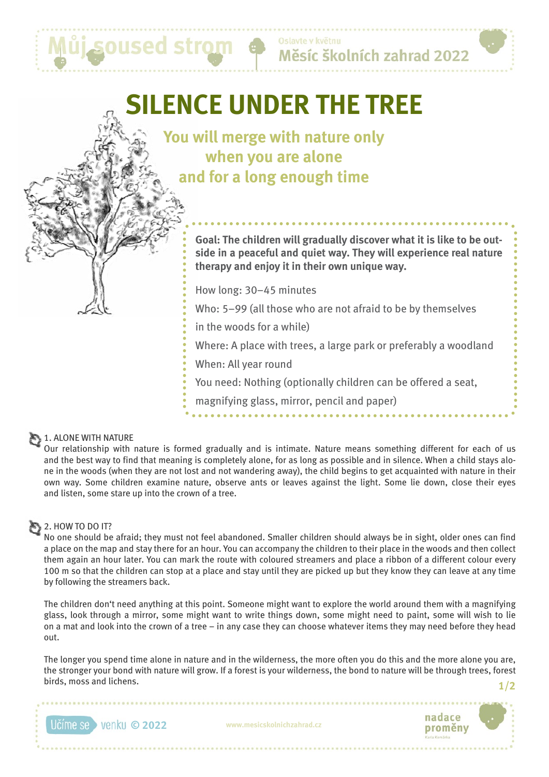# **SILENCE UNDER THE TREE**

ůj soused strom

**You will merge with nature only when you are alone and for a long enough time**

> **Goal: The children will gradually discover what it is like to be outside in a peaceful and quiet way. They will experience real nature therapy and enjoy it in their own unique way.**

How long: 30–45 minutes

Who: 5–99 (all those who are not afraid to be by themselves

in the woods for a while)

Where: A place with trees, a large park or preferably a woodland

When: All year round

You need: Nothing (optionally children can be offered a seat,

magnifying glass, mirror, pencil and paper)

#### 1. ALONE WITH NATURE

Our relationship with nature is formed gradually and is intimate. Nature means something different for each of us and the best way to find that meaning is completely alone, for as long as possible and in silence. When a child stays alone in the woods (when they are not lost and not wandering away), the child begins to get acquainted with nature in their own way. Some children examine nature, observe ants or leaves against the light. Some lie down, close their eyes and listen, some stare up into the crown of a tree.

## $2.$  HOW TO DO IT?

No one should be afraid; they must not feel abandoned. Smaller children should always be in sight, older ones can find a place on the map and stay there for an hour. You can accompany the children to their place in the woods and then collect them again an hour later. You can mark the route with coloured streamers and place a ribbon of a different colour every 100 m so that the children can stop at a place and stay until they are picked up but they know they can leave at any time by following the streamers back.

The children don't need anything at this point. Someone might want to explore the world around them with a magnifying glass, look through a mirror, some might want to write things down, some might need to paint, some will wish to lie on a mat and look into the crown of a tree – in any case they can choose whatever items they may need before they head out.

The longer you spend time alone in nature and in the wilderness, the more often you do this and the more alone you are, the stronger your bond with nature will grow. If a forest is your wilderness, the bond to nature will be through trees, forest birds, moss and lichens. **1/2**